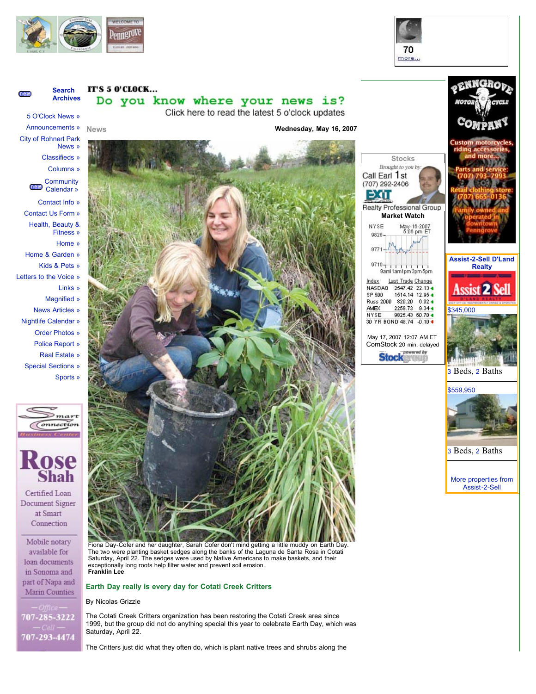





By Nicolas Grizzle

707-285-3222 707-293-4474

The Cotati Creek Critters organization has been restoring the Cotati Creek area since 1999, but the group did not do anything special this year to celebrate Earth Day, which was Saturday, April 22.

The Critters just did what they often do, which is plant native trees and shrubs along the